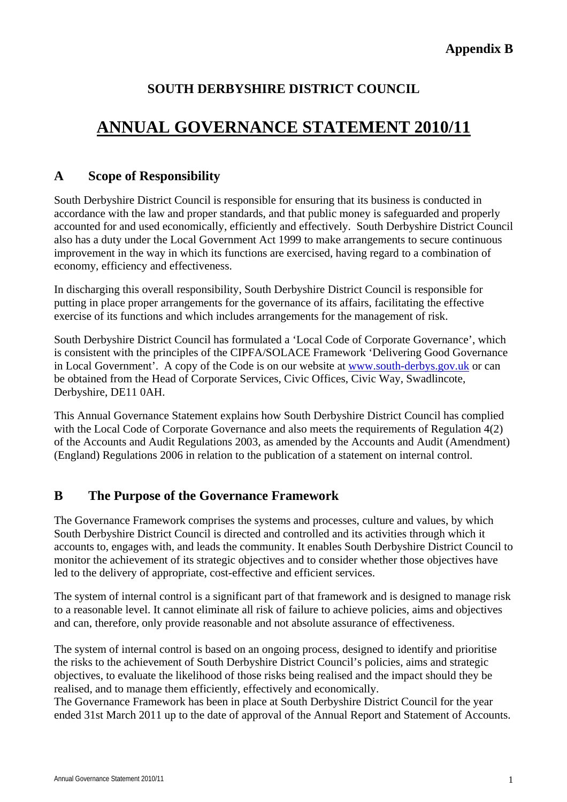# **SOUTH DERBYSHIRE DISTRICT COUNCIL**

# **ANNUAL GOVERNANCE STATEMENT 2010/11**

# **A Scope of Responsibility**

South Derbyshire District Council is responsible for ensuring that its business is conducted in accordance with the law and proper standards, and that public money is safeguarded and properly accounted for and used economically, efficiently and effectively. South Derbyshire District Council also has a duty under the Local Government Act 1999 to make arrangements to secure continuous improvement in the way in which its functions are exercised, having regard to a combination of economy, efficiency and effectiveness.

In discharging this overall responsibility, South Derbyshire District Council is responsible for putting in place proper arrangements for the governance of its affairs, facilitating the effective exercise of its functions and which includes arrangements for the management of risk.

South Derbyshire District Council has formulated a 'Local Code of Corporate Governance', which is consistent with the principles of the CIPFA/SOLACE Framework 'Delivering Good Governance in Local Government'. A copy of the Code is on our website at [www.south-derbys.gov.uk](http://www.south-derbys.gov.uk/) or can be obtained from the Head of Corporate Services, Civic Offices, Civic Way, Swadlincote, Derbyshire, DE11 0AH.

This Annual Governance Statement explains how South Derbyshire District Council has complied with the Local Code of Corporate Governance and also meets the requirements of Regulation 4(2) of the Accounts and Audit Regulations 2003, as amended by the Accounts and Audit (Amendment) (England) Regulations 2006 in relation to the publication of a statement on internal control.

# **B The Purpose of the Governance Framework**

The Governance Framework comprises the systems and processes, culture and values, by which South Derbyshire District Council is directed and controlled and its activities through which it accounts to, engages with, and leads the community. It enables South Derbyshire District Council to monitor the achievement of its strategic objectives and to consider whether those objectives have led to the delivery of appropriate, cost-effective and efficient services.

The system of internal control is a significant part of that framework and is designed to manage risk to a reasonable level. It cannot eliminate all risk of failure to achieve policies, aims and objectives and can, therefore, only provide reasonable and not absolute assurance of effectiveness.

The system of internal control is based on an ongoing process, designed to identify and prioritise the risks to the achievement of South Derbyshire District Council's policies, aims and strategic objectives, to evaluate the likelihood of those risks being realised and the impact should they be realised, and to manage them efficiently, effectively and economically.

The Governance Framework has been in place at South Derbyshire District Council for the year ended 31st March 2011 up to the date of approval of the Annual Report and Statement of Accounts.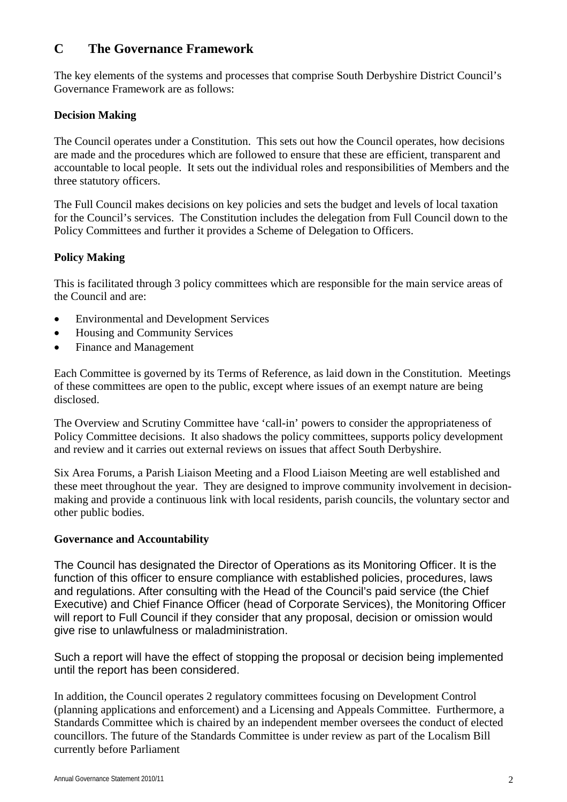# **C The Governance Framework**

The key elements of the systems and processes that comprise South Derbyshire District Council's Governance Framework are as follows:

#### **Decision Making**

The Council operates under a Constitution. This sets out how the Council operates, how decisions are made and the procedures which are followed to ensure that these are efficient, transparent and accountable to local people. It sets out the individual roles and responsibilities of Members and the three statutory officers.

The Full Council makes decisions on key policies and sets the budget and levels of local taxation for the Council's services. The Constitution includes the delegation from Full Council down to the Policy Committees and further it provides a Scheme of Delegation to Officers.

# **Policy Making**

This is facilitated through 3 policy committees which are responsible for the main service areas of the Council and are:

- Environmental and Development Services
- Housing and Community Services
- Finance and Management

Each Committee is governed by its Terms of Reference, as laid down in the Constitution. Meetings of these committees are open to the public, except where issues of an exempt nature are being disclosed.

The Overview and Scrutiny Committee have 'call-in' powers to consider the appropriateness of Policy Committee decisions. It also shadows the policy committees, supports policy development and review and it carries out external reviews on issues that affect South Derbyshire.

Six Area Forums, a Parish Liaison Meeting and a Flood Liaison Meeting are well established and these meet throughout the year. They are designed to improve community involvement in decisionmaking and provide a continuous link with local residents, parish councils, the voluntary sector and other public bodies.

# **Governance and Accountability**

The Council has designated the Director of Operations as its Monitoring Officer. It is the function of this officer to ensure compliance with established policies, procedures, laws and regulations. After consulting with the Head of the Council's paid service (the Chief Executive) and Chief Finance Officer (head of Corporate Services), the Monitoring Officer will report to Full Council if they consider that any proposal, decision or omission would give rise to unlawfulness or maladministration.

Such a report will have the effect of stopping the proposal or decision being implemented until the report has been considered.

In addition, the Council operates 2 regulatory committees focusing on Development Control (planning applications and enforcement) and a Licensing and Appeals Committee. Furthermore, a Standards Committee which is chaired by an independent member oversees the conduct of elected councillors. The future of the Standards Committee is under review as part of the Localism Bill currently before Parliament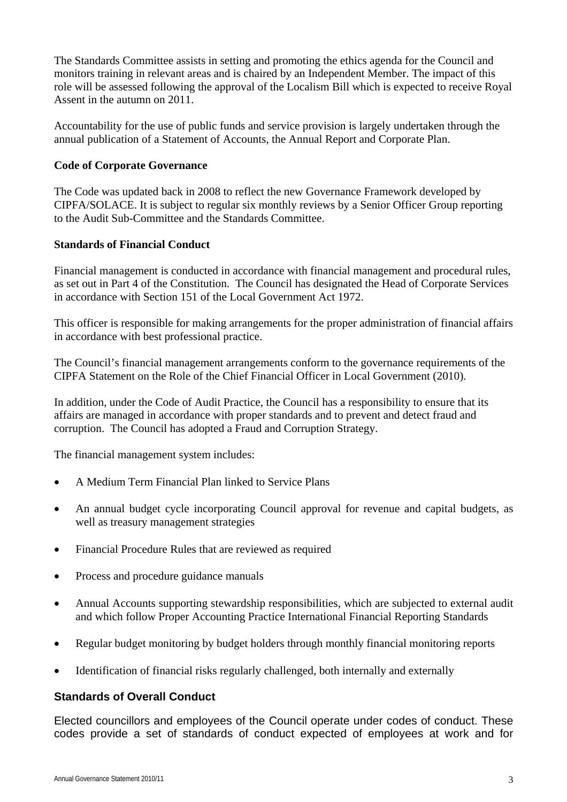The Standards Committee assists in setting and promoting the ethics agenda for the Council and monitors training in relevant areas and is chaired by an Independent Member. The impact of this role will be assessed following the approval of the Localism Bill which is expected to receive Royal Assent in the autumn on 2011.

Accountability for the use of public funds and service provision is largely undertaken through the annual publication of a Statement of Accounts, the Annual Report and Corporate Plan.

# **Code of Corporate Governance**

The Code was updated back in 2008 to reflect the new Governance Framework developed by CIPFA/SOLACE. It is subject to regular six monthly reviews by a Senior Officer Group reporting to the Audit Sub-Committee and the Standards Committee.

#### **Standards of Financial Conduct**

Financial management is conducted in accordance with financial management and procedural rules, as set out in Part 4 of the Constitution. The Council has designated the Head of Corporate Services in accordance with Section 151 of the Local Government Act 1972.

This officer is responsible for making arrangements for the proper administration of financial affairs in accordance with best professional practice.

The Council's financial management arrangements conform to the governance requirements of the CIPFA Statement on the Role of the Chief Financial Officer in Local Government (2010).

In addition, under the Code of Audit Practice, the Council has a responsibility to ensure that its affairs are managed in accordance with proper standards and to prevent and detect fraud and corruption. The Council has adopted a Fraud and Corruption Strategy.

The financial management system includes:

- A Medium Term Financial Plan linked to Service Plans
- An annual budget cycle incorporating Council approval for revenue and capital budgets, as well as treasury management strategies
- Financial Procedure Rules that are reviewed as required
- Process and procedure guidance manuals
- Annual Accounts supporting stewardship responsibilities, which are subjected to external audit and which follow Proper Accounting Practice International Financial Reporting Standards
- Regular budget monitoring by budget holders through monthly financial monitoring reports
- Identification of financial risks regularly challenged, both internally and externally

# **Standards of Overall Conduct**

Elected councillors and employees of the Council operate under codes of conduct. These codes provide a set of standards of conduct expected of employees at work and for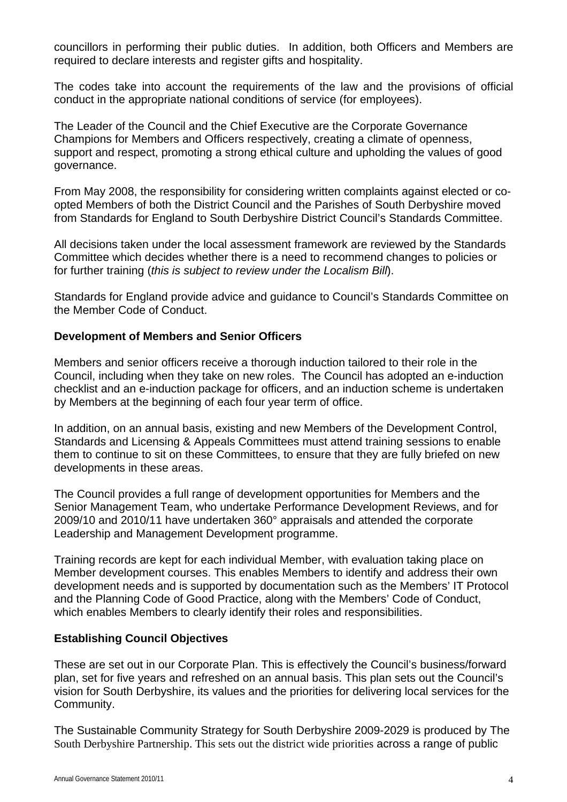councillors in performing their public duties. In addition, both Officers and Members are required to declare interests and register gifts and hospitality.

The codes take into account the requirements of the law and the provisions of official conduct in the appropriate national conditions of service (for employees).

The Leader of the Council and the Chief Executive are the Corporate Governance Champions for Members and Officers respectively, creating a climate of openness, support and respect, promoting a strong ethical culture and upholding the values of good governance.

From May 2008, the responsibility for considering written complaints against elected or coopted Members of both the District Council and the Parishes of South Derbyshire moved from Standards for England to South Derbyshire District Council's Standards Committee.

All decisions taken under the local assessment framework are reviewed by the Standards Committee which decides whether there is a need to recommend changes to policies or for further training (*this is subject to review under the Localism Bill*).

Standards for England provide advice and guidance to Council's Standards Committee on the Member Code of Conduct.

# **Development of Members and Senior Officers**

Members and senior officers receive a thorough induction tailored to their role in the Council, including when they take on new roles. The Council has adopted an e-induction checklist and an e-induction package for officers, and an induction scheme is undertaken by Members at the beginning of each four year term of office.

In addition, on an annual basis, existing and new Members of the Development Control, Standards and Licensing & Appeals Committees must attend training sessions to enable them to continue to sit on these Committees, to ensure that they are fully briefed on new developments in these areas.

The Council provides a full range of development opportunities for Members and the Senior Management Team, who undertake Performance Development Reviews, and for 2009/10 and 2010/11 have undertaken 360° appraisals and attended the corporate Leadership and Management Development programme.

Training records are kept for each individual Member, with evaluation taking place on Member development courses. This enables Members to identify and address their own development needs and is supported by documentation such as the Members' IT Protocol and the Planning Code of Good Practice, along with the Members' Code of Conduct, which enables Members to clearly identify their roles and responsibilities.

# **Establishing Council Objectives**

These are set out in our Corporate Plan. This is effectively the Council's business/forward plan, set for five years and refreshed on an annual basis. This plan sets out the Council's vision for South Derbyshire, its values and the priorities for delivering local services for the Community.

The Sustainable Community Strategy for South Derbyshire 2009-2029 is produced by The South Derbyshire Partnership. This sets out the district wide priorities across a range of public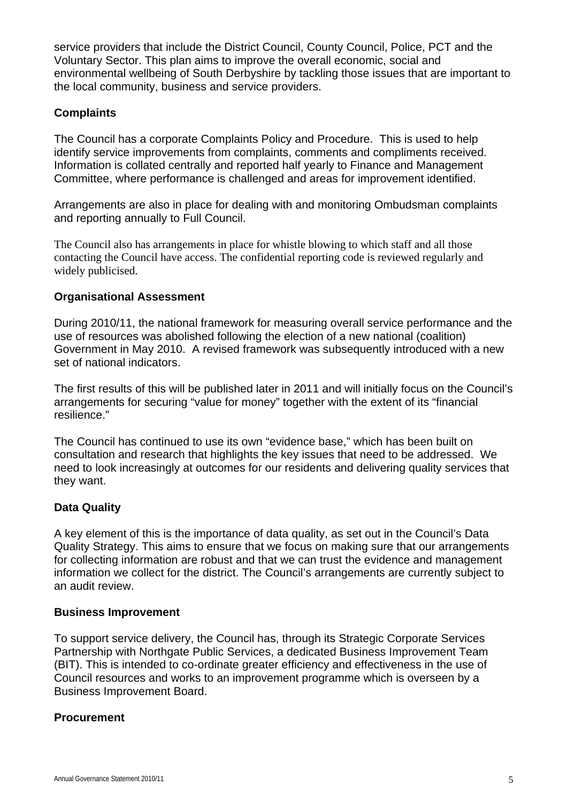service providers that include the District Council, County Council, Police, PCT and the Voluntary Sector. This plan aims to improve the overall economic, social and environmental wellbeing of South Derbyshire by tackling those issues that are important to the local community, business and service providers.

# **Complaints**

The Council has a corporate Complaints Policy and Procedure. This is used to help identify service improvements from complaints, comments and compliments received. Information is collated centrally and reported half yearly to Finance and Management Committee, where performance is challenged and areas for improvement identified.

Arrangements are also in place for dealing with and monitoring Ombudsman complaints and reporting annually to Full Council.

The Council also has arrangements in place for whistle blowing to which staff and all those contacting the Council have access. The confidential reporting code is reviewed regularly and widely publicised.

# **Organisational Assessment**

During 2010/11, the national framework for measuring overall service performance and the use of resources was abolished following the election of a new national (coalition) Government in May 2010. A revised framework was subsequently introduced with a new set of national indicators.

The first results of this will be published later in 2011 and will initially focus on the Council's arrangements for securing "value for money" together with the extent of its "financial resilience."

The Council has continued to use its own "evidence base," which has been built on consultation and research that highlights the key issues that need to be addressed. We need to look increasingly at outcomes for our residents and delivering quality services that they want.

# **Data Quality**

A key element of this is the importance of data quality, as set out in the Council's Data Quality Strategy. This aims to ensure that we focus on making sure that our arrangements for collecting information are robust and that we can trust the evidence and management information we collect for the district. The Council's arrangements are currently subject to an audit review.

# **Business Improvement**

To support service delivery, the Council has, through its Strategic Corporate Services Partnership with Northgate Public Services, a dedicated Business Improvement Team (BIT). This is intended to co-ordinate greater efficiency and effectiveness in the use of Council resources and works to an improvement programme which is overseen by a Business Improvement Board.

# **Procurement**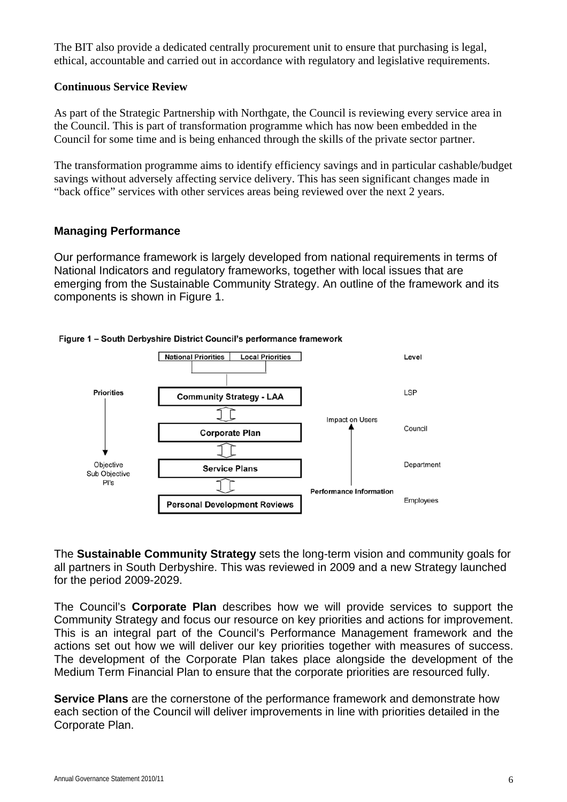The BIT also provide a dedicated centrally procurement unit to ensure that purchasing is legal, ethical, accountable and carried out in accordance with regulatory and legislative requirements.

#### **Continuous Service Review**

As part of the Strategic Partnership with Northgate, the Council is reviewing every service area in the Council. This is part of transformation programme which has now been embedded in the Council for some time and is being enhanced through the skills of the private sector partner.

The transformation programme aims to identify efficiency savings and in particular cashable/budget savings without adversely affecting service delivery. This has seen significant changes made in "back office" services with other services areas being reviewed over the next 2 years.

#### **Managing Performance**

Our performance framework is largely developed from national requirements in terms of National Indicators and regulatory frameworks, together with local issues that are emerging from the Sustainable Community Strategy. An outline of the framework and its components is shown in Figure 1.



#### Figure 1 - South Derbyshire District Council's performance framework

The **Sustainable Community Strategy** sets the long-term vision and community goals for all partners in South Derbyshire. This was reviewed in 2009 and a new Strategy launched for the period 2009-2029.

The Council's **Corporate Plan** describes how we will provide services to support the Community Strategy and focus our resource on key priorities and actions for improvement. This is an integral part of the Council's Performance Management framework and the actions set out how we will deliver our key priorities together with measures of success. The development of the Corporate Plan takes place alongside the development of the Medium Term Financial Plan to ensure that the corporate priorities are resourced fully.

**Service Plans** are the cornerstone of the performance framework and demonstrate how each section of the Council will deliver improvements in line with priorities detailed in the Corporate Plan.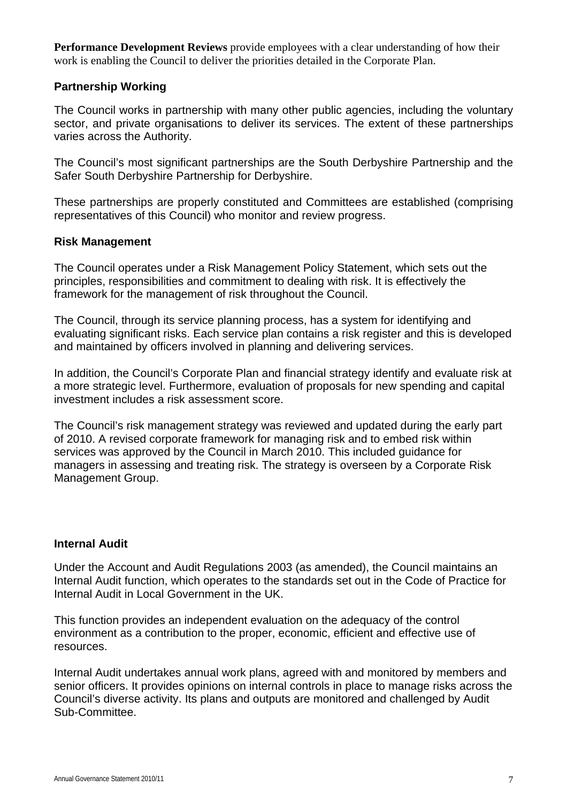**Performance Development Reviews** provide employees with a clear understanding of how their work is enabling the Council to deliver the priorities detailed in the Corporate Plan.

# **Partnership Working**

The Council works in partnership with many other public agencies, including the voluntary sector, and private organisations to deliver its services. The extent of these partnerships varies across the Authority.

The Council's most significant partnerships are the South Derbyshire Partnership and the Safer South Derbyshire Partnership for Derbyshire.

These partnerships are properly constituted and Committees are established (comprising representatives of this Council) who monitor and review progress.

#### **Risk Management**

The Council operates under a Risk Management Policy Statement, which sets out the principles, responsibilities and commitment to dealing with risk. It is effectively the framework for the management of risk throughout the Council.

The Council, through its service planning process, has a system for identifying and evaluating significant risks. Each service plan contains a risk register and this is developed and maintained by officers involved in planning and delivering services.

In addition, the Council's Corporate Plan and financial strategy identify and evaluate risk at a more strategic level. Furthermore, evaluation of proposals for new spending and capital investment includes a risk assessment score.

The Council's risk management strategy was reviewed and updated during the early part of 2010. A revised corporate framework for managing risk and to embed risk within services was approved by the Council in March 2010. This included guidance for managers in assessing and treating risk. The strategy is overseen by a Corporate Risk Management Group.

# **Internal Audit**

Under the Account and Audit Regulations 2003 (as amended), the Council maintains an Internal Audit function, which operates to the standards set out in the Code of Practice for Internal Audit in Local Government in the UK.

This function provides an independent evaluation on the adequacy of the control environment as a contribution to the proper, economic, efficient and effective use of resources.

Internal Audit undertakes annual work plans, agreed with and monitored by members and senior officers. It provides opinions on internal controls in place to manage risks across the Council's diverse activity. Its plans and outputs are monitored and challenged by Audit Sub-Committee.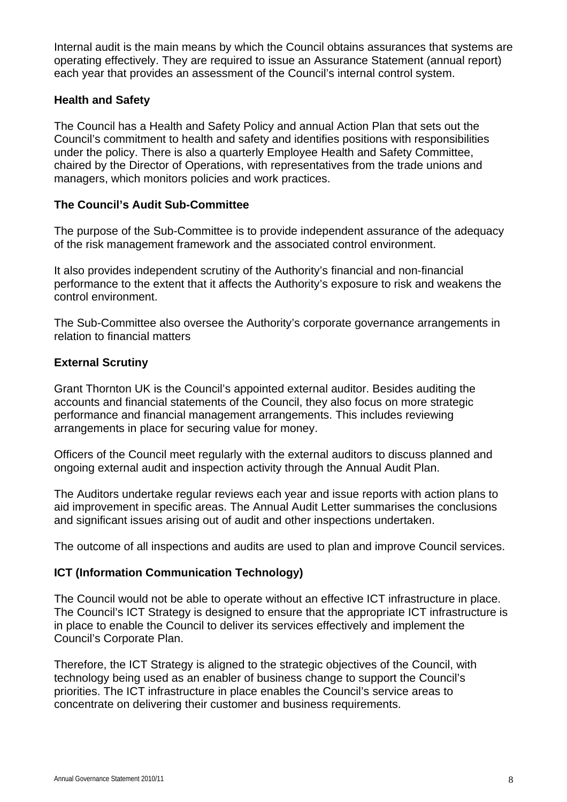Internal audit is the main means by which the Council obtains assurances that systems are operating effectively. They are required to issue an Assurance Statement (annual report) each year that provides an assessment of the Council's internal control system.

# **Health and Safety**

The Council has a Health and Safety Policy and annual Action Plan that sets out the Council's commitment to health and safety and identifies positions with responsibilities under the policy. There is also a quarterly Employee Health and Safety Committee, chaired by the Director of Operations, with representatives from the trade unions and managers, which monitors policies and work practices.

# **The Council's Audit Sub-Committee**

The purpose of the Sub-Committee is to provide independent assurance of the adequacy of the risk management framework and the associated control environment.

It also provides independent scrutiny of the Authority's financial and non-financial performance to the extent that it affects the Authority's exposure to risk and weakens the control environment.

The Sub-Committee also oversee the Authority's corporate governance arrangements in relation to financial matters

# **External Scrutiny**

Grant Thornton UK is the Council's appointed external auditor. Besides auditing the accounts and financial statements of the Council, they also focus on more strategic performance and financial management arrangements. This includes reviewing arrangements in place for securing value for money.

Officers of the Council meet regularly with the external auditors to discuss planned and ongoing external audit and inspection activity through the Annual Audit Plan.

The Auditors undertake regular reviews each year and issue reports with action plans to aid improvement in specific areas. The Annual Audit Letter summarises the conclusions and significant issues arising out of audit and other inspections undertaken.

The outcome of all inspections and audits are used to plan and improve Council services.

# **ICT (Information Communication Technology)**

The Council would not be able to operate without an effective ICT infrastructure in place. The Council's ICT Strategy is designed to ensure that the appropriate ICT infrastructure is in place to enable the Council to deliver its services effectively and implement the Council's Corporate Plan.

Therefore, the ICT Strategy is aligned to the strategic objectives of the Council, with technology being used as an enabler of business change to support the Council's priorities. The ICT infrastructure in place enables the Council's service areas to concentrate on delivering their customer and business requirements.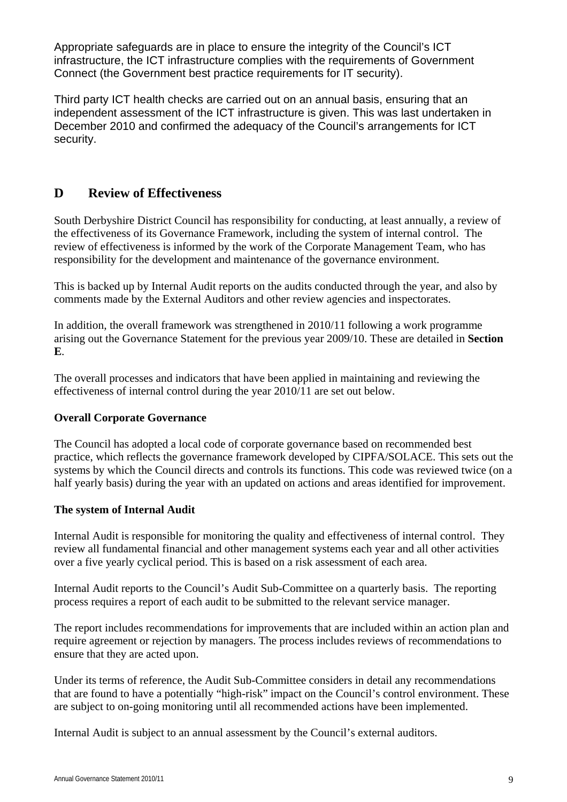Appropriate safeguards are in place to ensure the integrity of the Council's ICT infrastructure, the ICT infrastructure complies with the requirements of Government Connect (the Government best practice requirements for IT security).

Third party ICT health checks are carried out on an annual basis, ensuring that an independent assessment of the ICT infrastructure is given. This was last undertaken in December 2010 and confirmed the adequacy of the Council's arrangements for ICT security.

# **D Review of Effectiveness**

South Derbyshire District Council has responsibility for conducting, at least annually, a review of the effectiveness of its Governance Framework, including the system of internal control. The review of effectiveness is informed by the work of the Corporate Management Team, who has responsibility for the development and maintenance of the governance environment.

This is backed up by Internal Audit reports on the audits conducted through the year, and also by comments made by the External Auditors and other review agencies and inspectorates.

In addition, the overall framework was strengthened in 2010/11 following a work programme arising out the Governance Statement for the previous year 2009/10. These are detailed in **Section E**.

The overall processes and indicators that have been applied in maintaining and reviewing the effectiveness of internal control during the year 2010/11 are set out below.

# **Overall Corporate Governance**

The Council has adopted a local code of corporate governance based on recommended best practice, which reflects the governance framework developed by CIPFA/SOLACE. This sets out the systems by which the Council directs and controls its functions. This code was reviewed twice (on a half yearly basis) during the year with an updated on actions and areas identified for improvement.

#### **The system of Internal Audit**

Internal Audit is responsible for monitoring the quality and effectiveness of internal control. They review all fundamental financial and other management systems each year and all other activities over a five yearly cyclical period. This is based on a risk assessment of each area.

Internal Audit reports to the Council's Audit Sub-Committee on a quarterly basis. The reporting process requires a report of each audit to be submitted to the relevant service manager.

The report includes recommendations for improvements that are included within an action plan and require agreement or rejection by managers. The process includes reviews of recommendations to ensure that they are acted upon.

Under its terms of reference, the Audit Sub-Committee considers in detail any recommendations that are found to have a potentially "high-risk" impact on the Council's control environment. These are subject to on-going monitoring until all recommended actions have been implemented.

Internal Audit is subject to an annual assessment by the Council's external auditors.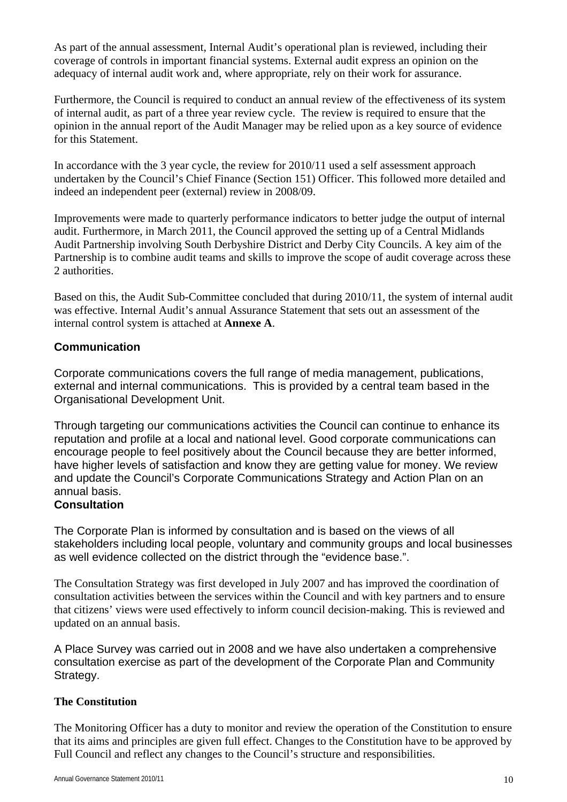As part of the annual assessment, Internal Audit's operational plan is reviewed, including their coverage of controls in important financial systems. External audit express an opinion on the adequacy of internal audit work and, where appropriate, rely on their work for assurance.

Furthermore, the Council is required to conduct an annual review of the effectiveness of its system of internal audit, as part of a three year review cycle. The review is required to ensure that the opinion in the annual report of the Audit Manager may be relied upon as a key source of evidence for this Statement.

In accordance with the 3 year cycle, the review for 2010/11 used a self assessment approach undertaken by the Council's Chief Finance (Section 151) Officer. This followed more detailed and indeed an independent peer (external) review in 2008/09.

Improvements were made to quarterly performance indicators to better judge the output of internal audit. Furthermore, in March 2011, the Council approved the setting up of a Central Midlands Audit Partnership involving South Derbyshire District and Derby City Councils. A key aim of the Partnership is to combine audit teams and skills to improve the scope of audit coverage across these 2 authorities.

Based on this, the Audit Sub-Committee concluded that during 2010/11, the system of internal audit was effective. Internal Audit's annual Assurance Statement that sets out an assessment of the internal control system is attached at **Annexe A**.

# **Communication**

Corporate communications covers the full range of media management, publications, external and internal communications. This is provided by a central team based in the Organisational Development Unit.

Through targeting our communications activities the Council can continue to enhance its reputation and profile at a local and national level. Good corporate communications can encourage people to feel positively about the Council because they are better informed, have higher levels of satisfaction and know they are getting value for money. We review and update the Council's Corporate Communications Strategy and Action Plan on an annual basis.

#### **Consultation**

The Corporate Plan is informed by consultation and is based on the views of all stakeholders including local people, voluntary and community groups and local businesses as well evidence collected on the district through the "evidence base.".

The Consultation Strategy was first developed in July 2007 and has improved the coordination of consultation activities between the services within the Council and with key partners and to ensure that citizens' views were used effectively to inform council decision-making. This is reviewed and updated on an annual basis.

A Place Survey was carried out in 2008 and we have also undertaken a comprehensive consultation exercise as part of the development of the Corporate Plan and Community Strategy.

# **The Constitution**

The Monitoring Officer has a duty to monitor and review the operation of the Constitution to ensure that its aims and principles are given full effect. Changes to the Constitution have to be approved by Full Council and reflect any changes to the Council's structure and responsibilities.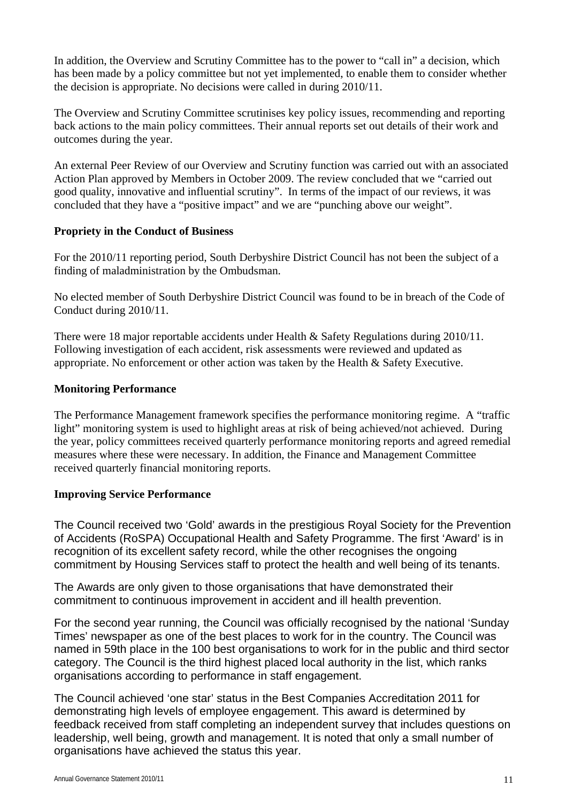In addition, the Overview and Scrutiny Committee has to the power to "call in" a decision, which has been made by a policy committee but not yet implemented, to enable them to consider whether the decision is appropriate. No decisions were called in during 2010/11.

The Overview and Scrutiny Committee scrutinises key policy issues, recommending and reporting back actions to the main policy committees. Their annual reports set out details of their work and outcomes during the year.

An external Peer Review of our Overview and Scrutiny function was carried out with an associated Action Plan approved by Members in October 2009. The review concluded that we "carried out good quality, innovative and influential scrutiny". In terms of the impact of our reviews, it was concluded that they have a "positive impact" and we are "punching above our weight".

#### **Propriety in the Conduct of Business**

For the 2010/11 reporting period, South Derbyshire District Council has not been the subject of a finding of maladministration by the Ombudsman.

No elected member of South Derbyshire District Council was found to be in breach of the Code of Conduct during 2010/11.

There were 18 major reportable accidents under Health & Safety Regulations during 2010/11. Following investigation of each accident, risk assessments were reviewed and updated as appropriate. No enforcement or other action was taken by the Health & Safety Executive.

#### **Monitoring Performance**

The Performance Management framework specifies the performance monitoring regime. A "traffic light" monitoring system is used to highlight areas at risk of being achieved/not achieved. During the year, policy committees received quarterly performance monitoring reports and agreed remedial measures where these were necessary. In addition, the Finance and Management Committee received quarterly financial monitoring reports.

# **Improving Service Performance**

The Council received two 'Gold' awards in the prestigious Royal Society for the Prevention of Accidents (RoSPA) Occupational Health and Safety Programme. The first 'Award' is in recognition of its excellent safety record, while the other recognises the ongoing commitment by Housing Services staff to protect the health and well being of its tenants.

The Awards are only given to those organisations that have demonstrated their commitment to continuous improvement in accident and ill health prevention.

For the second year running, the Council was officially recognised by the national 'Sunday Times' newspaper as one of the best places to work for in the country. The Council was named in 59th place in the 100 best organisations to work for in the public and third sector category. The Council is the third highest placed local authority in the list, which ranks organisations according to performance in staff engagement.

The Council achieved 'one star' status in the Best Companies Accreditation 2011 for demonstrating high levels of employee engagement. This award is determined by feedback received from staff completing an independent survey that includes questions on leadership, well being, growth and management. It is noted that only a small number of organisations have achieved the status this year.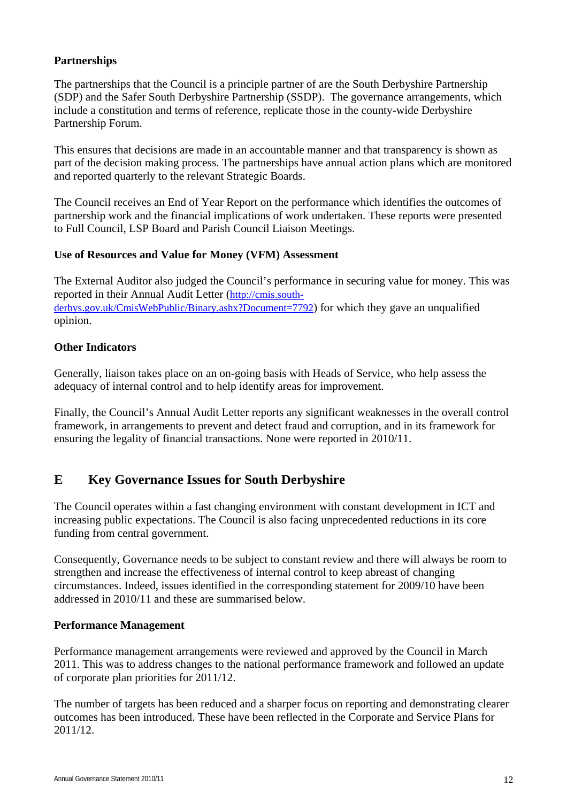# **Partnerships**

The partnerships that the Council is a principle partner of are the South Derbyshire Partnership (SDP) and the Safer South Derbyshire Partnership (SSDP). The governance arrangements, which include a constitution and terms of reference, replicate those in the county-wide Derbyshire Partnership Forum.

This ensures that decisions are made in an accountable manner and that transparency is shown as part of the decision making process. The partnerships have annual action plans which are monitored and reported quarterly to the relevant Strategic Boards.

The Council receives an End of Year Report on the performance which identifies the outcomes of partnership work and the financial implications of work undertaken. These reports were presented to Full Council, LSP Board and Parish Council Liaison Meetings.

# **Use of Resources and Value for Money (VFM) Assessment**

The External Auditor also judged the Council's performance in securing value for money. This was reported in their Annual Audit Letter [\(http://cmis.south](http://cmis.south-derbys.gov.uk/CmisWebPublic/Binary.ashx?Document=7792)[derbys.gov.uk/CmisWebPublic/Binary.ashx?Document=7792\)](http://cmis.south-derbys.gov.uk/CmisWebPublic/Binary.ashx?Document=7792) for which they gave an unqualified opinion.

# **Other Indicators**

Generally, liaison takes place on an on-going basis with Heads of Service, who help assess the adequacy of internal control and to help identify areas for improvement.

Finally, the Council's Annual Audit Letter reports any significant weaknesses in the overall control framework, in arrangements to prevent and detect fraud and corruption, and in its framework for ensuring the legality of financial transactions. None were reported in 2010/11.

# **E Key Governance Issues for South Derbyshire**

The Council operates within a fast changing environment with constant development in ICT and increasing public expectations. The Council is also facing unprecedented reductions in its core funding from central government.

Consequently, Governance needs to be subject to constant review and there will always be room to strengthen and increase the effectiveness of internal control to keep abreast of changing circumstances. Indeed, issues identified in the corresponding statement for 2009/10 have been addressed in 2010/11 and these are summarised below.

#### **Performance Management**

Performance management arrangements were reviewed and approved by the Council in March 2011. This was to address changes to the national performance framework and followed an update of corporate plan priorities for 2011/12.

The number of targets has been reduced and a sharper focus on reporting and demonstrating clearer outcomes has been introduced. These have been reflected in the Corporate and Service Plans for 2011/12.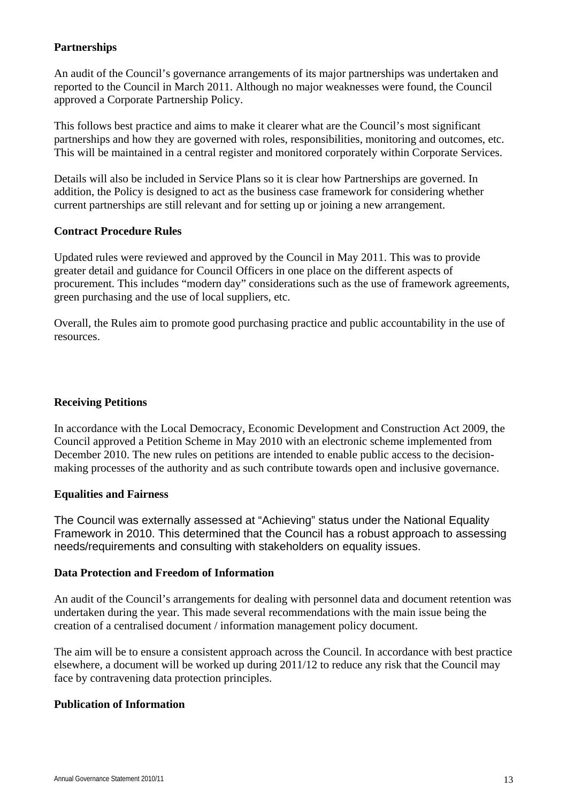#### **Partnerships**

An audit of the Council's governance arrangements of its major partnerships was undertaken and reported to the Council in March 2011. Although no major weaknesses were found, the Council approved a Corporate Partnership Policy.

This follows best practice and aims to make it clearer what are the Council's most significant partnerships and how they are governed with roles, responsibilities, monitoring and outcomes, etc. This will be maintained in a central register and monitored corporately within Corporate Services.

Details will also be included in Service Plans so it is clear how Partnerships are governed. In addition, the Policy is designed to act as the business case framework for considering whether current partnerships are still relevant and for setting up or joining a new arrangement.

#### **Contract Procedure Rules**

Updated rules were reviewed and approved by the Council in May 2011. This was to provide greater detail and guidance for Council Officers in one place on the different aspects of procurement. This includes "modern day" considerations such as the use of framework agreements, green purchasing and the use of local suppliers, etc.

Overall, the Rules aim to promote good purchasing practice and public accountability in the use of resources.

#### **Receiving Petitions**

In accordance with the Local Democracy, Economic Development and Construction Act 2009, the Council approved a Petition Scheme in May 2010 with an electronic scheme implemented from December 2010. The new rules on petitions are intended to enable public access to the decisionmaking processes of the authority and as such contribute towards open and inclusive governance.

#### **Equalities and Fairness**

The Council was externally assessed at "Achieving" status under the National Equality Framework in 2010. This determined that the Council has a robust approach to assessing needs/requirements and consulting with stakeholders on equality issues.

#### **Data Protection and Freedom of Information**

An audit of the Council's arrangements for dealing with personnel data and document retention was undertaken during the year. This made several recommendations with the main issue being the creation of a centralised document / information management policy document.

The aim will be to ensure a consistent approach across the Council. In accordance with best practice elsewhere, a document will be worked up during 2011/12 to reduce any risk that the Council may face by contravening data protection principles.

#### **Publication of Information**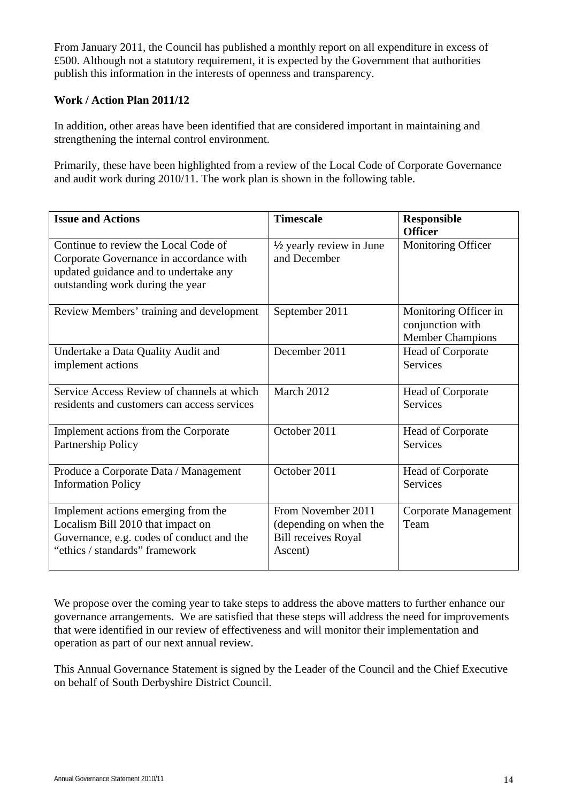From January 2011, the Council has published a monthly report on all expenditure in excess of £500. Although not a statutory requirement, it is expected by the Government that authorities publish this information in the interests of openness and transparency.

#### **Work / Action Plan 2011/12**

In addition, other areas have been identified that are considered important in maintaining and strengthening the internal control environment.

Primarily, these have been highlighted from a review of the Local Code of Corporate Governance and audit work during 2010/11. The work plan is shown in the following table.

| <b>Issue and Actions</b>                                                                                                                                     | <b>Timescale</b>                                                                      | <b>Responsible</b><br><b>Officer</b>                                 |
|--------------------------------------------------------------------------------------------------------------------------------------------------------------|---------------------------------------------------------------------------------------|----------------------------------------------------------------------|
| Continue to review the Local Code of<br>Corporate Governance in accordance with<br>updated guidance and to undertake any<br>outstanding work during the year | 1/2 yearly review in June<br>and December                                             | Monitoring Officer                                                   |
| Review Members' training and development                                                                                                                     | September 2011                                                                        | Monitoring Officer in<br>conjunction with<br><b>Member Champions</b> |
| Undertake a Data Quality Audit and<br>implement actions                                                                                                      | December 2011                                                                         | Head of Corporate<br><b>Services</b>                                 |
| Service Access Review of channels at which<br>residents and customers can access services                                                                    | March 2012                                                                            | Head of Corporate<br><b>Services</b>                                 |
| Implement actions from the Corporate<br>Partnership Policy                                                                                                   | October 2011                                                                          | Head of Corporate<br><b>Services</b>                                 |
| Produce a Corporate Data / Management<br><b>Information Policy</b>                                                                                           | October 2011                                                                          | Head of Corporate<br><b>Services</b>                                 |
| Implement actions emerging from the<br>Localism Bill 2010 that impact on<br>Governance, e.g. codes of conduct and the<br>"ethics / standards" framework      | From November 2011<br>(depending on when the<br><b>Bill receives Royal</b><br>Ascent) | Corporate Management<br>Team                                         |

We propose over the coming year to take steps to address the above matters to further enhance our governance arrangements. We are satisfied that these steps will address the need for improvements that were identified in our review of effectiveness and will monitor their implementation and operation as part of our next annual review.

This Annual Governance Statement is signed by the Leader of the Council and the Chief Executive on behalf of South Derbyshire District Council.